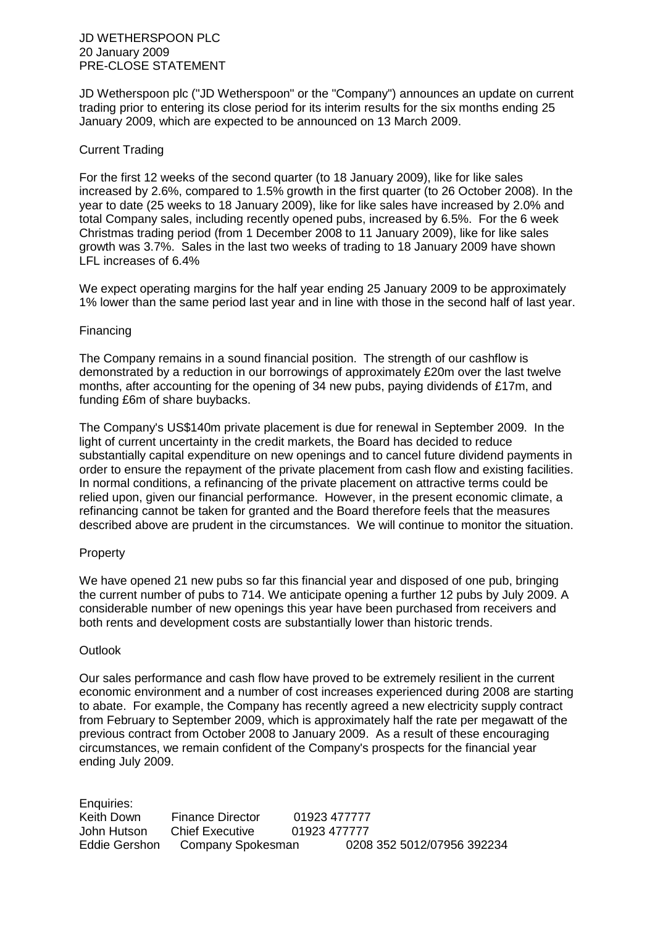JD Wetherspoon plc ("JD Wetherspoon" or the "Company") announces an update on current trading prior to entering its close period for its interim results for the six months ending 25 January 2009, which are expected to be announced on 13 March 2009.

## Current Trading

For the first 12 weeks of the second quarter (to 18 January 2009), like for like sales increased by 2.6%, compared to 1.5% growth in the first quarter (to 26 October 2008). In the year to date (25 weeks to 18 January 2009), like for like sales have increased by 2.0% and total Company sales, including recently opened pubs, increased by 6.5%. For the 6 week Christmas trading period (from 1 December 2008 to 11 January 2009), like for like sales growth was 3.7%. Sales in the last two weeks of trading to 18 January 2009 have shown LFL increases of 6.4%

We expect operating margins for the half year ending 25 January 2009 to be approximately 1% lower than the same period last year and in line with those in the second half of last year.

## Financing

The Company remains in a sound financial position. The strength of our cashflow is demonstrated by a reduction in our borrowings of approximately £20m over the last twelve months, after accounting for the opening of 34 new pubs, paying dividends of £17m, and funding £6m of share buybacks.

The Company's US\$140m private placement is due for renewal in September 2009. In the light of current uncertainty in the credit markets, the Board has decided to reduce substantially capital expenditure on new openings and to cancel future dividend payments in order to ensure the repayment of the private placement from cash flow and existing facilities. In normal conditions, a refinancing of the private placement on attractive terms could be relied upon, given our financial performance. However, in the present economic climate, a refinancing cannot be taken for granted and the Board therefore feels that the measures described above are prudent in the circumstances. We will continue to monitor the situation.

## Property

We have opened 21 new pubs so far this financial year and disposed of one pub, bringing the current number of pubs to 714. We anticipate opening a further 12 pubs by July 2009. A considerable number of new openings this year have been purchased from receivers and both rents and development costs are substantially lower than historic trends.

## **Outlook**

Our sales performance and cash flow have proved to be extremely resilient in the current economic environment and a number of cost increases experienced during 2008 are starting to abate. For example, the Company has recently agreed a new electricity supply contract from February to September 2009, which is approximately half the rate per megawatt of the previous contract from October 2008 to January 2009. As a result of these encouraging circumstances, we remain confident of the Company's prospects for the financial year ending July 2009.

Enquiries: Keith Down Finance Director 01923 477777 John Hutson Chief Executive 01923 477777 Eddie Gershon Company Spokesman 0208 352 5012/07956 392234